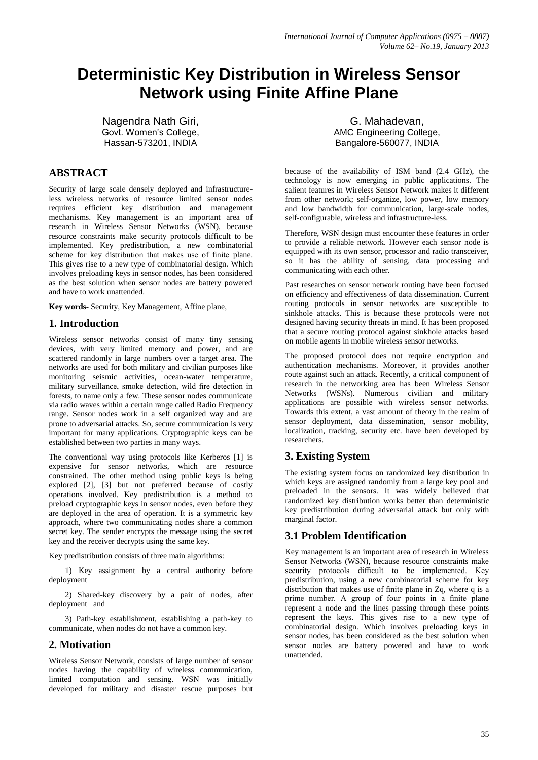# **Deterministic Key Distribution in Wireless Sensor Network using Finite Affine Plane**

Nagendra Nath Giri, Govt. Women's College, Hassan-573201, INDIA

# **ABSTRACT**

Security of large scale densely deployed and infrastructureless wireless networks of resource limited sensor nodes requires efficient key distribution and management mechanisms. Key management is an important area of research in Wireless Sensor Networks (WSN), because resource constraints make security protocols difficult to be implemented. Key predistribution, a new combinatorial scheme for key distribution that makes use of finite plane. This gives rise to a new type of combinatorial design. Which involves preloading keys in sensor nodes, has been considered as the best solution when sensor nodes are battery powered and have to work unattended.

**Key words-** Security, Key Management, Affine plane,

# **1. Introduction**

Wireless sensor networks consist of many tiny sensing devices, with very limited memory and power, and are scattered randomly in large numbers over a target area. The networks are used for both military and civilian purposes like monitoring seismic activities, ocean-water temperature, military surveillance, smoke detection, wild fire detection in forests, to name only a few. These sensor nodes communicate via radio waves within a certain range called Radio Frequency range. Sensor nodes work in a self organized way and are prone to adversarial attacks. So, secure communication is very important for many applications. Cryptographic keys can be established between two parties in many ways.

The conventional way using protocols like Kerberos [1] is expensive for sensor networks, which are resource constrained. The other method using public keys is being explored [2], [3] but not preferred because of costly operations involved. Key predistribution is a method to preload cryptographic keys in sensor nodes, even before they are deployed in the area of operation. It is a symmetric key approach, where two communicating nodes share a common secret key. The sender encrypts the message using the secret key and the receiver decrypts using the same key.

Key predistribution consists of three main algorithms:

1) Key assignment by a central authority before deployment

2) Shared-key discovery by a pair of nodes, after deployment and

3) Path-key establishment, establishing a path-key to communicate, when nodes do not have a common key.

### **2. Motivation**

Wireless Sensor Network, consists of large number of sensor nodes having the capability of wireless communication, limited computation and sensing. WSN was initially developed for military and disaster rescue purposes but

G. Mahadevan, AMC Engineering College, Bangalore-560077, INDIA

because of the availability of ISM band (2.4 GHz), the technology is now emerging in public applications. The salient features in Wireless Sensor Network makes it different from other network; self-organize, low power, low memory and low bandwidth for communication, large-scale nodes, self-configurable, wireless and infrastructure-less.

Therefore, WSN design must encounter these features in order to provide a reliable network. However each sensor node is equipped with its own sensor, processor and radio transceiver, so it has the ability of sensing, data processing and communicating with each other.

Past researches on sensor network routing have been focused on efficiency and effectiveness of data dissemination. Current routing protocols in sensor networks are susceptible to sinkhole attacks. This is because these protocols were not designed having security threats in mind. It has been proposed that a secure routing protocol against sinkhole attacks based on mobile agents in mobile wireless sensor networks.

The proposed protocol does not require encryption and authentication mechanisms. Moreover, it provides another route against such an attack. Recently, a critical component of research in the networking area has been Wireless Sensor Networks (WSNs). Numerous civilian and military applications are possible with wireless sensor networks. Towards this extent, a vast amount of theory in the realm of sensor deployment, data dissemination, sensor mobility, localization, tracking, security etc. have been developed by researchers.

# **3. Existing System**

The existing system focus on randomized key distribution in which keys are assigned randomly from a large key pool and preloaded in the sensors. It was widely believed that randomized key distribution works better than deterministic key predistribution during adversarial attack but only with marginal factor.

# **3.1 Problem Identification**

Key management is an important area of research in Wireless Sensor Networks (WSN), because resource constraints make security protocols difficult to be implemented. Key predistribution, using a new combinatorial scheme for key distribution that makes use of finite plane in Zq, where q is a prime number. A group of four points in a finite plane represent a node and the lines passing through these points represent the keys. This gives rise to a new type of combinatorial design. Which involves preloading keys in sensor nodes, has been considered as the best solution when sensor nodes are battery powered and have to work unattended.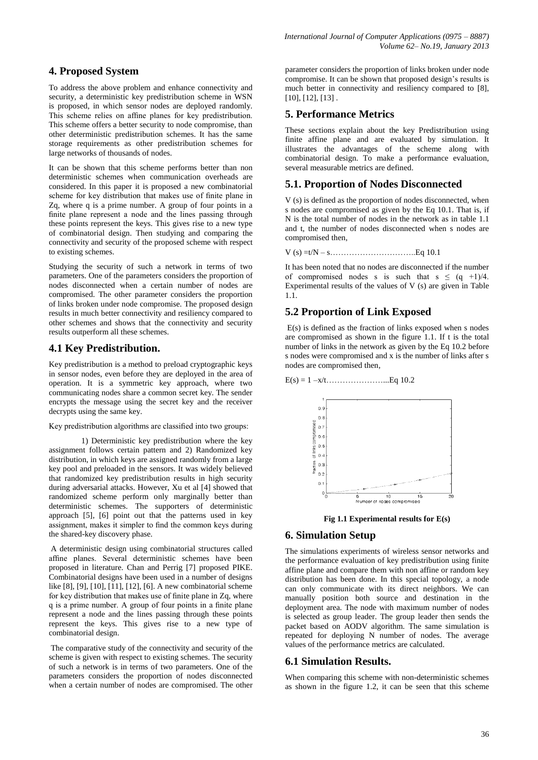## **4. Proposed System**

To address the above problem and enhance connectivity and security, a deterministic key predistribution scheme in WSN is proposed, in which sensor nodes are deployed randomly. This scheme relies on affine planes for key predistribution. This scheme offers a better security to node compromise, than other deterministic predistribution schemes. It has the same storage requirements as other predistribution schemes for large networks of thousands of nodes.

It can be shown that this scheme performs better than non deterministic schemes when communication overheads are considered. In this paper it is proposed a new combinatorial scheme for key distribution that makes use of finite plane in Zq, where q is a prime number. A group of four points in a finite plane represent a node and the lines passing through these points represent the keys. This gives rise to a new type of combinatorial design. Then studying and comparing the connectivity and security of the proposed scheme with respect to existing schemes.

Studying the security of such a network in terms of two parameters. One of the parameters considers the proportion of nodes disconnected when a certain number of nodes are compromised. The other parameter considers the proportion of links broken under node compromise. The proposed design results in much better connectivity and resiliency compared to other schemes and shows that the connectivity and security results outperform all these schemes.

# **4.1 Key Predistribution.**

Key predistribution is a method to preload cryptographic keys in sensor nodes, even before they are deployed in the area of operation. It is a symmetric key approach, where two communicating nodes share a common secret key. The sender encrypts the message using the secret key and the receiver decrypts using the same key.

#### Key predistribution algorithms are classified into two groups:

1) Deterministic key predistribution where the key assignment follows certain pattern and 2) Randomized key distribution, in which keys are assigned randomly from a large key pool and preloaded in the sensors. It was widely believed that randomized key predistribution results in high security during adversarial attacks. However, Xu et al [4] showed that randomized scheme perform only marginally better than deterministic schemes. The supporters of deterministic approach [5], [6] point out that the patterns used in key assignment, makes it simpler to find the common keys during the shared-key discovery phase.

A deterministic design using combinatorial structures called affine planes. Several deterministic schemes have been proposed in literature. Chan and Perrig [7] proposed PIKE. Combinatorial designs have been used in a number of designs like [8], [9], [10], [11], [12], [6]. A new combinatorial scheme for key distribution that makes use of finite plane in Zq, where q is a prime number. A group of four points in a finite plane represent a node and the lines passing through these points represent the keys. This gives rise to a new type of combinatorial design.

The comparative study of the connectivity and security of the scheme is given with respect to existing schemes. The security of such a network is in terms of two parameters. One of the parameters considers the proportion of nodes disconnected when a certain number of nodes are compromised. The other

parameter considers the proportion of links broken under node compromise. It can be shown that proposed design's results is much better in connectivity and resiliency compared to [8], [10], [12], [13] .

## **5. Performance Metrics**

These sections explain about the key Predistribution using finite affine plane and are evaluated by simulation. It illustrates the advantages of the scheme along with combinatorial design. To make a performance evaluation, several measurable metrics are defined.

# **5.1. Proportion of Nodes Disconnected**

V (s) is defined as the proportion of nodes disconnected, when s nodes are compromised as given by the Eq 10.1. That is, if N is the total number of nodes in the network as in table 1.1 and t, the number of nodes disconnected when s nodes are compromised then,

V (s) =t/N – s…………………………..Eq 10.1

It has been noted that no nodes are disconnected if the number of compromised nodes s is such that  $s \le (q +1)/4$ . Experimental results of the values of V (s) are given in Table 1.1.

# **5.2 Proportion of Link Exposed**

E(s) is defined as the fraction of links exposed when s nodes are compromised as shown in the figure 1.1. If t is the total number of links in the network as given by the Eq 10.2 before s nodes were compromised and x is the number of links after s nodes are compromised then,





**Fig 1.1 Experimental results for E(s)**

### **6. Simulation Setup**

The simulations experiments of wireless sensor networks and the performance evaluation of key predistribution using finite affine plane and compare them with non affine or random key distribution has been done. In this special topology, a node can only communicate with its direct neighbors. We can manually position both source and destination in the deployment area. The node with maximum number of nodes is selected as group leader. The group leader then sends the packet based on AODV algorithm. The same simulation is repeated for deploying N number of nodes. The average values of the performance metrics are calculated.

### **6.1 Simulation Results.**

When comparing this scheme with non-deterministic schemes as shown in the figure 1.2, it can be seen that this scheme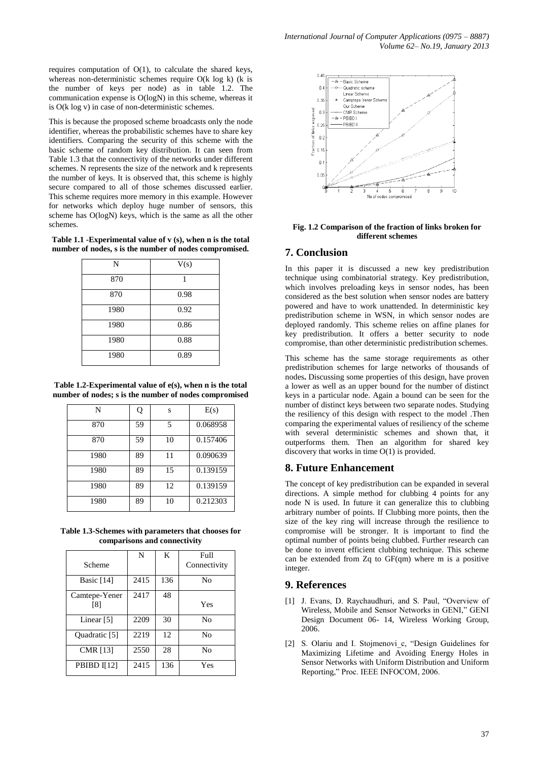requires computation of O(1), to calculate the shared keys, whereas non-deterministic schemes require O(k log k) (k is the number of keys per node) as in table 1.2. The communication expense is O(logN) in this scheme, whereas it is O(k log v) in case of non-deterministic schemes.

This is because the proposed scheme broadcasts only the node identifier, whereas the probabilistic schemes have to share key identifiers. Comparing the security of this scheme with the basic scheme of random key distribution. It can seen from Table 1.3 that the connectivity of the networks under different schemes. N represents the size of the network and k represents the number of keys. It is observed that, this scheme is highly secure compared to all of those schemes discussed earlier. This scheme requires more memory in this example. However for networks which deploy huge number of sensors, this scheme has O(logN) keys, which is the same as all the other schemes.

**Table 1.1 -Experimental value of v (s), when n is the total number of nodes, s is the number of nodes compromised.**

| N    | V(s) |
|------|------|
| 870  | 1    |
| 870  | 0.98 |
| 1980 | 0.92 |
| 1980 | 0.86 |
| 1980 | 0.88 |
| 1980 | 0.89 |

**Table 1.2-Experimental value of e(s), when n is the total number of nodes; s is the number of nodes compromised** 

| N    | Q  | S  | E(s)     |
|------|----|----|----------|
| 870  | 59 | 5  | 0.068958 |
| 870  | 59 | 10 | 0.157406 |
| 1980 | 89 | 11 | 0.090639 |
| 1980 | 89 | 15 | 0.139159 |
| 1980 | 89 | 12 | 0.139159 |
| 1980 | 89 | 10 | 0.212303 |

**Table 1.3-Schemes with parameters that chooses for comparisons and connectivity**

|                 | N    | K   | Full           |
|-----------------|------|-----|----------------|
| Scheme          |      |     | Connectivity   |
| Basic $[14]$    | 2415 | 136 | No             |
| Camtepe-Yener   | 2417 | 48  |                |
| [8]             |      |     | Yes            |
| Linear $[5]$    | 2209 | 30  | No             |
| Quadratic [5]   | 2219 | 12  | N <sub>0</sub> |
| <b>CMR</b> [13] | 2550 | 28  | N <sub>0</sub> |
| PBIBD I[12]     | 2415 | 136 | Yes            |



#### **Fig. 1.2 Comparison of the fraction of links broken for different schemes**

#### **7. Conclusion**

In this paper it is discussed a new key predistribution technique using combinatorial strategy. Key predistribution, which involves preloading keys in sensor nodes, has been considered as the best solution when sensor nodes are battery powered and have to work unattended. In deterministic key predistribution scheme in WSN, in which sensor nodes are deployed randomly. This scheme relies on affine planes for key predistribution. It offers a better security to node compromise, than other deterministic predistribution schemes.

This scheme has the same storage requirements as other predistribution schemes for large networks of thousands of nodes**.** Discussing some properties of this design, have proven a lower as well as an upper bound for the number of distinct keys in a particular node. Again a bound can be seen for the number of distinct keys between two separate nodes. Studying the resiliency of this design with respect to the model .Then comparing the experimental values of resiliency of the scheme with several deterministic schemes and shown that, it outperforms them. Then an algorithm for shared key discovery that works in time O(1) is provided.

### **8. Future Enhancement**

The concept of key predistribution can be expanded in several directions. A simple method for clubbing 4 points for any node N is used. In future it can generalize this to clubbing arbitrary number of points. If Clubbing more points, then the size of the key ring will increase through the resilience to compromise will be stronger. It is important to find the optimal number of points being clubbed. Further research can be done to invent efficient clubbing technique. This scheme can be extended from Zq to GF(qm) where m is a positive integer.

### **9. References**

- [1] J. Evans, D. Raychaudhuri, and S. Paul, "Overview of Wireless, Mobile and Sensor Networks in GENI," GENI Design Document 06- 14, Wireless Working Group, 2006.
- [2] S. Olariu and I. Stojmenovi c, "Design Guidelines for Maximizing Lifetime and Avoiding Energy Holes in Sensor Networks with Uniform Distribution and Uniform Reporting," Proc. IEEE INFOCOM, 2006.